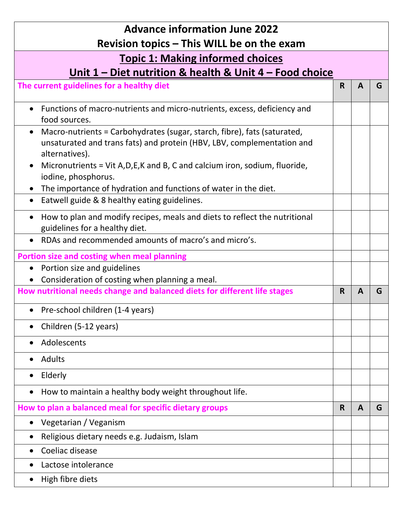| <b>Advance information June 2022</b>                                                                                                                                   |             |              |   |
|------------------------------------------------------------------------------------------------------------------------------------------------------------------------|-------------|--------------|---|
| Revision topics – This WILL be on the exam                                                                                                                             |             |              |   |
| <b>Topic 1: Making informed choices</b>                                                                                                                                |             |              |   |
| Unit 1 - Diet nutrition & health & Unit 4 - Food choice                                                                                                                |             |              |   |
| The current guidelines for a healthy diet                                                                                                                              | R.          | A            | G |
| Functions of macro-nutrients and micro-nutrients, excess, deficiency and<br>food sources.                                                                              |             |              |   |
| Macro-nutrients = Carbohydrates (sugar, starch, fibre), fats (saturated,<br>unsaturated and trans fats) and protein (HBV, LBV, complementation and<br>alternatives).   |             |              |   |
| Micronutrients = Vit A, D, E, K and B, C and calcium iron, sodium, fluoride,<br>iodine, phosphorus.<br>The importance of hydration and functions of water in the diet. |             |              |   |
| Eatwell guide & 8 healthy eating guidelines.                                                                                                                           |             |              |   |
| How to plan and modify recipes, meals and diets to reflect the nutritional<br>guidelines for a healthy diet.                                                           |             |              |   |
| RDAs and recommended amounts of macro's and micro's.                                                                                                                   |             |              |   |
| Portion size and costing when meal planning                                                                                                                            |             |              |   |
| Portion size and guidelines<br>$\bullet$                                                                                                                               |             |              |   |
| Consideration of costing when planning a meal.                                                                                                                         |             |              |   |
| How nutritional needs change and balanced diets for different life stages                                                                                              | R.          | A            | G |
| • Pre-school children (1-4 years)                                                                                                                                      |             |              |   |
| Children (5-12 years)                                                                                                                                                  |             |              |   |
| Adolescents                                                                                                                                                            |             |              |   |
| Adults                                                                                                                                                                 |             |              |   |
| Elderly                                                                                                                                                                |             |              |   |
| How to maintain a healthy body weight throughout life.                                                                                                                 |             |              |   |
| How to plan a balanced meal for specific dietary groups                                                                                                                | $\mathbf R$ | $\mathsf{A}$ | G |
| Vegetarian / Veganism                                                                                                                                                  |             |              |   |
| Religious dietary needs e.g. Judaism, Islam                                                                                                                            |             |              |   |
| Coeliac disease                                                                                                                                                        |             |              |   |
| Lactose intolerance                                                                                                                                                    |             |              |   |
| High fibre diets                                                                                                                                                       |             |              |   |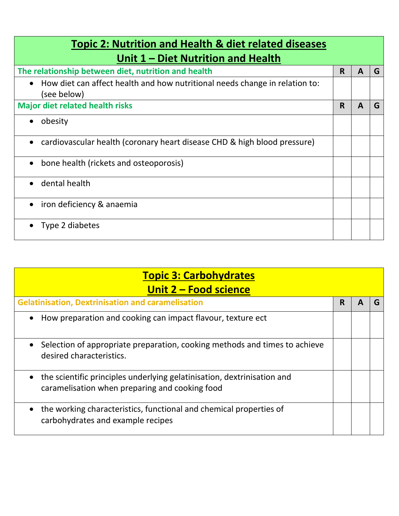| <b>Topic 2: Nutrition and Health &amp; diet related diseases</b>                                        |    |   |   |
|---------------------------------------------------------------------------------------------------------|----|---|---|
| Unit 1 – Diet Nutrition and Health                                                                      |    |   |   |
| The relationship between diet, nutrition and health                                                     | R. | A | G |
| How diet can affect health and how nutritional needs change in relation to:<br>$\bullet$<br>(see below) |    |   |   |
| <b>Major diet related health risks</b>                                                                  | R. | A | G |
| obesity                                                                                                 |    |   |   |
| cardiovascular health (coronary heart disease CHD & high blood pressure)<br>$\bullet$                   |    |   |   |
| bone health (rickets and osteoporosis)<br>$\bullet$                                                     |    |   |   |
| dental health<br>$\bullet$                                                                              |    |   |   |
| iron deficiency & anaemia                                                                               |    |   |   |
| Type 2 diabetes                                                                                         |    |   |   |

| <b>Topic 3: Carbohydrates</b>                                                                                             |   |    |
|---------------------------------------------------------------------------------------------------------------------------|---|----|
| Unit 2 - Food science                                                                                                     |   |    |
| <b>Gelatinisation, Dextrinisation and caramelisation</b>                                                                  | R | ί7 |
| How preparation and cooking can impact flavour, texture ect                                                               |   |    |
| Selection of appropriate preparation, cooking methods and times to achieve<br>desired characteristics.                    |   |    |
| the scientific principles underlying gelatinisation, dextrinisation and<br>caramelisation when preparing and cooking food |   |    |
| the working characteristics, functional and chemical properties of<br>carbohydrates and example recipes                   |   |    |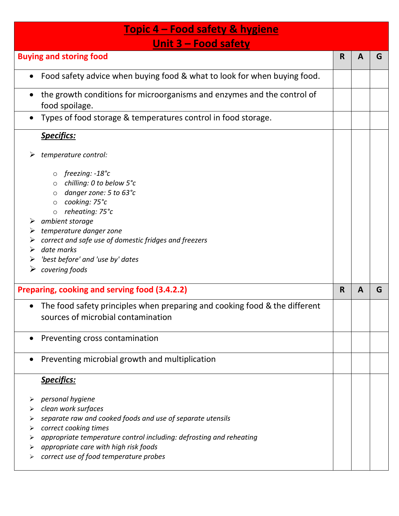| <u><b>Topic 4 – Food safety &amp; hygiene</b></u>                                                                                                                                                                                                                                                                                                             |    |   |   |  |
|---------------------------------------------------------------------------------------------------------------------------------------------------------------------------------------------------------------------------------------------------------------------------------------------------------------------------------------------------------------|----|---|---|--|
| Unit $3 -$ Food safety                                                                                                                                                                                                                                                                                                                                        |    |   |   |  |
| <b>Buying and storing food</b>                                                                                                                                                                                                                                                                                                                                | R  | A | G |  |
| Food safety advice when buying food & what to look for when buying food.                                                                                                                                                                                                                                                                                      |    |   |   |  |
| the growth conditions for microorganisms and enzymes and the control of<br>$\bullet$<br>food spoilage.                                                                                                                                                                                                                                                        |    |   |   |  |
| Types of food storage & temperatures control in food storage.<br>$\bullet$                                                                                                                                                                                                                                                                                    |    |   |   |  |
| <b>Specifics:</b>                                                                                                                                                                                                                                                                                                                                             |    |   |   |  |
| temperature control:<br>➤                                                                                                                                                                                                                                                                                                                                     |    |   |   |  |
| freezing: $-18^\circ c$<br>$\circ$<br>chilling: 0 to below 5°c<br>$\circ$<br>danger zone: 5 to 63°c<br>$\circ$<br>cooking: 75°c<br>$\circ$<br>reheating: 75°c<br>$\circ$<br>ambient storage<br>temperature danger zone<br>➤<br>correct and safe use of domestic fridges and freezers<br>date marks<br>➤<br>'best before' and 'use by' dates<br>covering foods |    |   |   |  |
| Preparing, cooking and serving food (3.4.2.2)                                                                                                                                                                                                                                                                                                                 | R. | A | G |  |
| The food safety principles when preparing and cooking food & the different<br>sources of microbial contamination                                                                                                                                                                                                                                              |    |   |   |  |
| Preventing cross contamination                                                                                                                                                                                                                                                                                                                                |    |   |   |  |
| Preventing microbial growth and multiplication                                                                                                                                                                                                                                                                                                                |    |   |   |  |
| <b>Specifics:</b>                                                                                                                                                                                                                                                                                                                                             |    |   |   |  |
| personal hygiene<br>➤<br>clean work surfaces<br>separate raw and cooked foods and use of separate utensils<br>⋗<br>correct cooking times<br>appropriate temperature control including: defrosting and reheating<br>➤<br>appropriate care with high risk foods<br>correct use of food temperature probes<br>➤                                                  |    |   |   |  |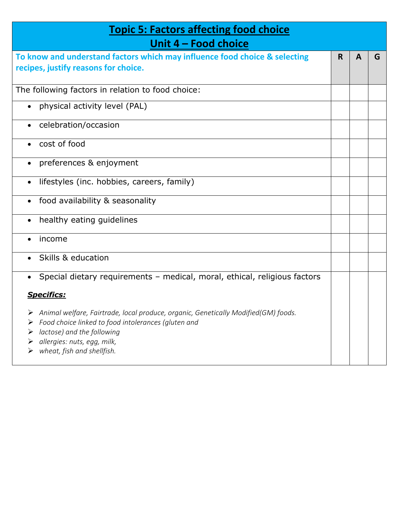| <b>Topic 5: Factors affecting food choice</b>                                                                                                                                                      |    |   |   |
|----------------------------------------------------------------------------------------------------------------------------------------------------------------------------------------------------|----|---|---|
| Unit 4 - Food choice                                                                                                                                                                               |    |   |   |
| To know and understand factors which may influence food choice & selecting<br>recipes, justify reasons for choice.                                                                                 | R. | A | G |
| The following factors in relation to food choice:                                                                                                                                                  |    |   |   |
| • physical activity level (PAL)                                                                                                                                                                    |    |   |   |
| celebration/occasion<br>$\bullet$                                                                                                                                                                  |    |   |   |
| cost of food                                                                                                                                                                                       |    |   |   |
| preferences & enjoyment<br>$\bullet$                                                                                                                                                               |    |   |   |
| lifestyles (inc. hobbies, careers, family)<br>$\bullet$                                                                                                                                            |    |   |   |
| food availability & seasonality                                                                                                                                                                    |    |   |   |
| healthy eating guidelines<br>$\bullet$                                                                                                                                                             |    |   |   |
| income                                                                                                                                                                                             |    |   |   |
| Skills & education<br>$\bullet$                                                                                                                                                                    |    |   |   |
| Special dietary requirements - medical, moral, ethical, religious factors                                                                                                                          |    |   |   |
| <b>Specifics:</b>                                                                                                                                                                                  |    |   |   |
| $\triangleright$ Animal welfare, Fairtrade, local produce, organic, Genetically Modified(GM) foods.<br>Food choice linked to food intolerances (gluten and<br>➤<br>lactose) and the following<br>➤ |    |   |   |
| allergies: nuts, egg, milk,<br>wheat, fish and shellfish.                                                                                                                                          |    |   |   |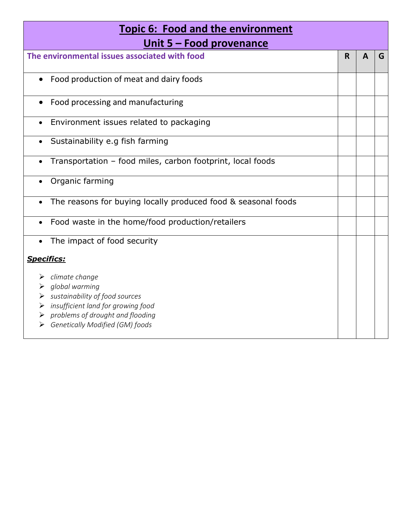| <b>Topic 6: Food and the environment</b><br>Unit 5 – Food provenance      |             |              |   |
|---------------------------------------------------------------------------|-------------|--------------|---|
| The environmental issues associated with food                             | $\mathbf R$ | $\mathbf{A}$ | G |
| Food production of meat and dairy foods                                   |             |              |   |
| Food processing and manufacturing                                         |             |              |   |
| Environment issues related to packaging<br>$\bullet$                      |             |              |   |
| Sustainability e.g fish farming<br>$\bullet$                              |             |              |   |
| Transportation - food miles, carbon footprint, local foods                |             |              |   |
| Organic farming                                                           |             |              |   |
| The reasons for buying locally produced food & seasonal foods             |             |              |   |
| Food waste in the home/food production/retailers                          |             |              |   |
| The impact of food security                                               |             |              |   |
| <b>Specifics:</b>                                                         |             |              |   |
| $\triangleright$ climate change                                           |             |              |   |
| global warming                                                            |             |              |   |
| sustainability of food sources<br>insufficient land for growing food<br>➤ |             |              |   |
| problems of drought and flooding<br>➤                                     |             |              |   |
| Genetically Modified (GM) foods                                           |             |              |   |